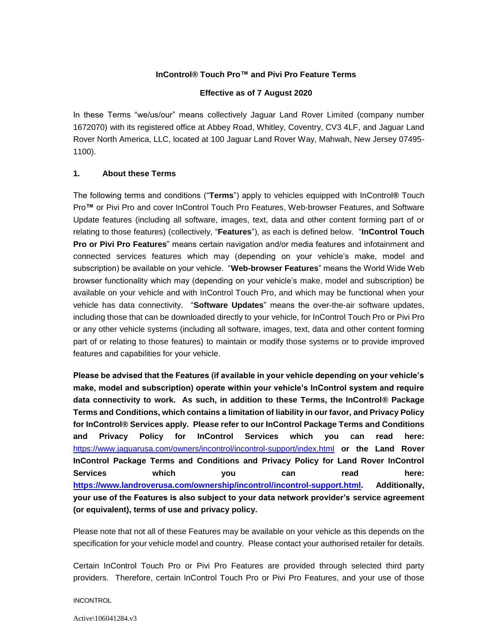# **InControl® Touch Pro™ and Pivi Pro Feature Terms**

#### **Effective as of 7 August 2020**

In these Terms "we/us/our" means collectively Jaguar Land Rover Limited (company number 1672070) with its registered office at Abbey Road, Whitley, Coventry, CV3 4LF, and Jaguar Land Rover North America, LLC, located at 100 Jaguar Land Rover Way, Mahwah, New Jersey 07495- 1100).

#### **1. About these Terms**

The following terms and conditions ("**Terms**") apply to vehicles equipped with InControl**®** Touch Pro**™** or Pivi Pro and cover InControl Touch Pro Features, Web-browser Features, and Software Update features (including all software, images, text, data and other content forming part of or relating to those features) (collectively, "**Features**"), as each is defined below. "**InControl Touch Pro or Pivi Pro Features**" means certain navigation and/or media features and infotainment and connected services features which may (depending on your vehicle's make, model and subscription) be available on your vehicle. "**Web-browser Features**" means the World Wide Web browser functionality which may (depending on your vehicle's make, model and subscription) be available on your vehicle and with InControl Touch Pro, and which may be functional when your vehicle has data connectivity. "**Software Updates**" means the over-the-air software updates, including those that can be downloaded directly to your vehicle, for InControl Touch Pro or Pivi Pro or any other vehicle systems (including all software, images, text, data and other content forming part of or relating to those features) to maintain or modify those systems or to provide improved features and capabilities for your vehicle.

**Please be advised that the Features (if available in your vehicle depending on your vehicle's make, model and subscription) operate within your vehicle's InControl system and require data connectivity to work. As such, in addition to these Terms, the InControl® Package Terms and Conditions, which contains a limitation of liability in our favor, and Privacy Policy for InControl® Services apply. Please refer to our InControl Package Terms and Conditions and Privacy Policy for InControl Services which you can read here:**  <https://www.jaguarusa.com/owners/incontrol/incontrol-support/index.html> **or the Land Rover InControl Package Terms and Conditions and Privacy Policy for Land Rover InControl Services which you can read here: [https://www.landroverusa.com/ownership/incontrol/incontrol-support.html.](https://www.landroverusa.com/ownership/incontrol/incontrol-support.html) Additionally, your use of the Features is also subject to your data network provider's service agreement (or equivalent), terms of use and privacy policy.** 

Please note that not all of these Features may be available on your vehicle as this depends on the specification for your vehicle model and country. Please contact your authorised retailer for details.

Certain InControl Touch Pro or Pivi Pro Features are provided through selected third party providers. Therefore, certain InControl Touch Pro or Pivi Pro Features, and your use of those

INCONTROL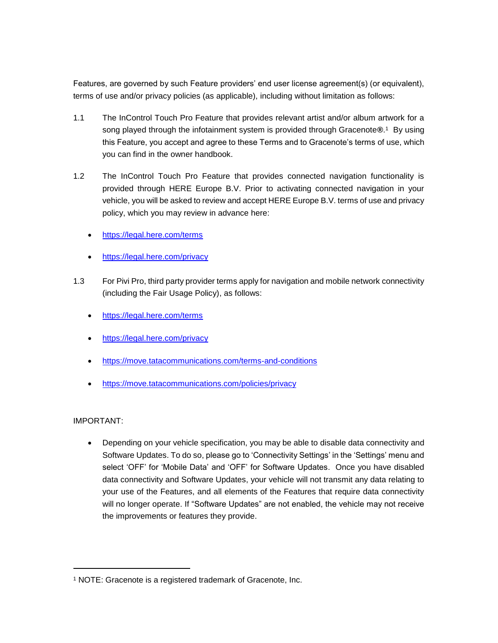Features, are governed by such Feature providers' end user license agreement(s) (or equivalent), terms of use and/or privacy policies (as applicable), including without limitation as follows:

- 1.1 The InControl Touch Pro Feature that provides relevant artist and/or album artwork for a song played through the infotainment system is provided through Gracenote®.<sup>1</sup> By using this Feature, you accept and agree to these Terms and to Gracenote's terms of use, which you can find in the owner handbook.
- 1.2 The InControl Touch Pro Feature that provides connected navigation functionality is provided through HERE Europe B.V. Prior to activating connected navigation in your vehicle, you will be asked to review and accept HERE Europe B.V. terms of use and privacy policy, which you may review in advance here:
	- <https://legal.here.com/terms>
	- <https://legal.here.com/privacy>
- 1.3 For Pivi Pro, third party provider terms apply for navigation and mobile network connectivity (including the Fair Usage Policy), as follows:
	- <https://legal.here.com/terms>
	- <https://legal.here.com/privacy>
	- <https://move.tatacommunications.com/terms-and-conditions>
	- <https://move.tatacommunications.com/policies/privacy>

# IMPORTANT:

l

• Depending on your vehicle specification, you may be able to disable data connectivity and Software Updates. To do so, please go to 'Connectivity Settings' in the 'Settings' menu and select 'OFF' for 'Mobile Data' and 'OFF' for Software Updates. Once you have disabled data connectivity and Software Updates, your vehicle will not transmit any data relating to your use of the Features, and all elements of the Features that require data connectivity will no longer operate. If "Software Updates" are not enabled, the vehicle may not receive the improvements or features they provide.

<sup>1</sup> NOTE: Gracenote is a registered trademark of Gracenote, Inc.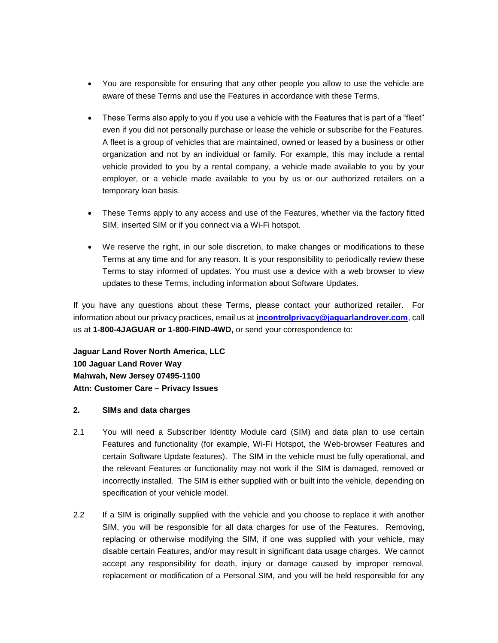- You are responsible for ensuring that any other people you allow to use the vehicle are aware of these Terms and use the Features in accordance with these Terms.
- These Terms also apply to you if you use a vehicle with the Features that is part of a "fleet" even if you did not personally purchase or lease the vehicle or subscribe for the Features. A fleet is a group of vehicles that are maintained, owned or leased by a business or other organization and not by an individual or family. For example, this may include a rental vehicle provided to you by a rental company, a vehicle made available to you by your employer, or a vehicle made available to you by us or our authorized retailers on a temporary loan basis.
- These Terms apply to any access and use of the Features, whether via the factory fitted SIM, inserted SIM or if you connect via a Wi-Fi hotspot.
- We reserve the right, in our sole discretion, to make changes or modifications to these Terms at any time and for any reason. It is your responsibility to periodically review these Terms to stay informed of updates. You must use a device with a web browser to view updates to these Terms, including information about Software Updates.

If you have any questions about these Terms, please contact your authorized retailer. For information about our privacy practices, email us at **[incontrolprivacy@jaguarlandrover.com](mailto:incontrolprivacy@jaguarlandrover.com)**, call us at **1-800-4JAGUAR or 1-800-FIND-4WD,** or send your correspondence to:

**Jaguar Land Rover North America, LLC 100 Jaguar Land Rover Way Mahwah, New Jersey 07495-1100 Attn: Customer Care – Privacy Issues** 

#### **2. SIMs and data charges**

- 2.1 You will need a Subscriber Identity Module card (SIM) and data plan to use certain Features and functionality (for example, Wi-Fi Hotspot, the Web-browser Features and certain Software Update features). The SIM in the vehicle must be fully operational, and the relevant Features or functionality may not work if the SIM is damaged, removed or incorrectly installed. The SIM is either supplied with or built into the vehicle, depending on specification of your vehicle model.
- 2.2 If a SIM is originally supplied with the vehicle and you choose to replace it with another SIM, you will be responsible for all data charges for use of the Features. Removing, replacing or otherwise modifying the SIM, if one was supplied with your vehicle, may disable certain Features, and/or may result in significant data usage charges. We cannot accept any responsibility for death, injury or damage caused by improper removal, replacement or modification of a Personal SIM, and you will be held responsible for any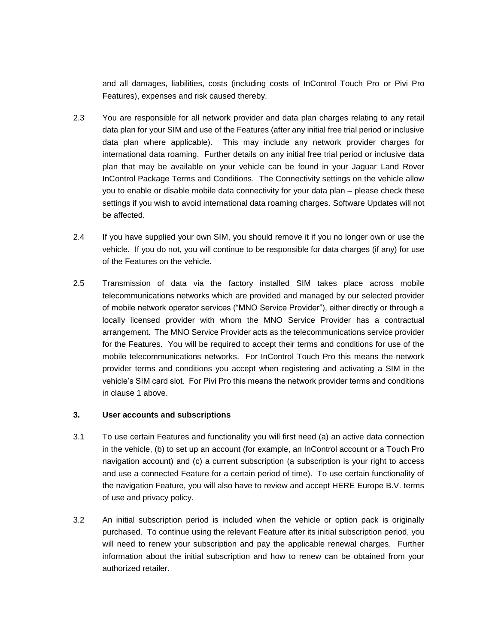and all damages, liabilities, costs (including costs of InControl Touch Pro or Pivi Pro Features), expenses and risk caused thereby.

- 2.3 You are responsible for all network provider and data plan charges relating to any retail data plan for your SIM and use of the Features (after any initial free trial period or inclusive data plan where applicable). This may include any network provider charges for international data roaming. Further details on any initial free trial period or inclusive data plan that may be available on your vehicle can be found in your Jaguar Land Rover InControl Package Terms and Conditions. The Connectivity settings on the vehicle allow you to enable or disable mobile data connectivity for your data plan – please check these settings if you wish to avoid international data roaming charges. Software Updates will not be affected.
- 2.4 If you have supplied your own SIM, you should remove it if you no longer own or use the vehicle. If you do not, you will continue to be responsible for data charges (if any) for use of the Features on the vehicle.
- 2.5 Transmission of data via the factory installed SIM takes place across mobile telecommunications networks which are provided and managed by our selected provider of mobile network operator services ("MNO Service Provider"), either directly or through a locally licensed provider with whom the MNO Service Provider has a contractual arrangement. The MNO Service Provider acts as the telecommunications service provider for the Features. You will be required to accept their terms and conditions for use of the mobile telecommunications networks. For InControl Touch Pro this means the network provider terms and conditions you accept when registering and activating a SIM in the vehicle's SIM card slot. For Pivi Pro this means the network provider terms and conditions in clause 1 above.

# **3. User accounts and subscriptions**

- 3.1 To use certain Features and functionality you will first need (a) an active data connection in the vehicle, (b) to set up an account (for example, an InControl account or a Touch Pro navigation account) and (c) a current subscription (a subscription is your right to access and use a connected Feature for a certain period of time). To use certain functionality of the navigation Feature, you will also have to review and accept HERE Europe B.V. terms of use and privacy policy.
- 3.2 An initial subscription period is included when the vehicle or option pack is originally purchased. To continue using the relevant Feature after its initial subscription period, you will need to renew your subscription and pay the applicable renewal charges. Further information about the initial subscription and how to renew can be obtained from your authorized retailer.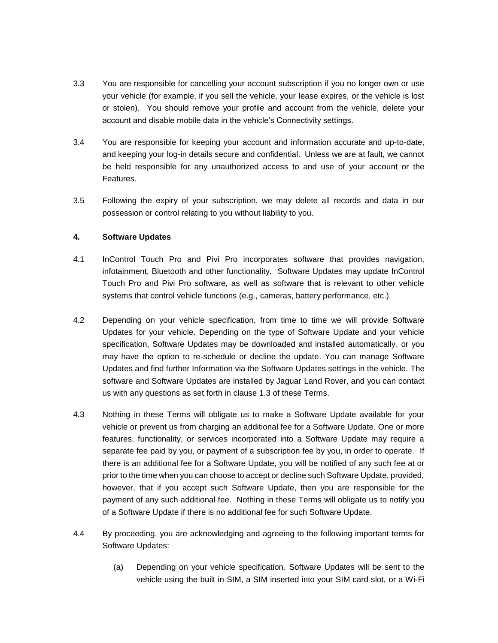- 3.3 You are responsible for cancelling your account subscription if you no longer own or use your vehicle (for example, if you sell the vehicle, your lease expires, or the vehicle is lost or stolen). You should remove your profile and account from the vehicle, delete your account and disable mobile data in the vehicle's Connectivity settings.
- 3.4 You are responsible for keeping your account and information accurate and up-to-date, and keeping your log-in details secure and confidential. Unless we are at fault, we cannot be held responsible for any unauthorized access to and use of your account or the Features.
- 3.5 Following the expiry of your subscription, we may delete all records and data in our possession or control relating to you without liability to you.

# **4. Software Updates**

- 4.1 InControl Touch Pro and Pivi Pro incorporates software that provides navigation, infotainment, Bluetooth and other functionality. Software Updates may update InControl Touch Pro and Pivi Pro software, as well as software that is relevant to other vehicle systems that control vehicle functions (e.g., cameras, battery performance, etc.).
- 4.2 Depending on your vehicle specification, from time to time we will provide Software Updates for your vehicle. Depending on the type of Software Update and your vehicle specification, Software Updates may be downloaded and installed automatically, or you may have the option to re-schedule or decline the update. You can manage Software Updates and find further Information via the Software Updates settings in the vehicle. The software and Software Updates are installed by Jaguar Land Rover, and you can contact us with any questions as set forth in clause 1.3 of these Terms.
- 4.3 Nothing in these Terms will obligate us to make a Software Update available for your vehicle or prevent us from charging an additional fee for a Software Update. One or more features, functionality, or services incorporated into a Software Update may require a separate fee paid by you, or payment of a subscription fee by you, in order to operate. If there is an additional fee for a Software Update, you will be notified of any such fee at or prior to the time when you can choose to accept or decline such Software Update, provided, however, that if you accept such Software Update, then you are responsible for the payment of any such additional fee. Nothing in these Terms will obligate us to notify you of a Software Update if there is no additional fee for such Software Update.
- 4.4 By proceeding, you are acknowledging and agreeing to the following important terms for Software Updates:
	- (a) Depending on your vehicle specification, Software Updates will be sent to the vehicle using the built in SIM, a SIM inserted into your SIM card slot, or a Wi-Fi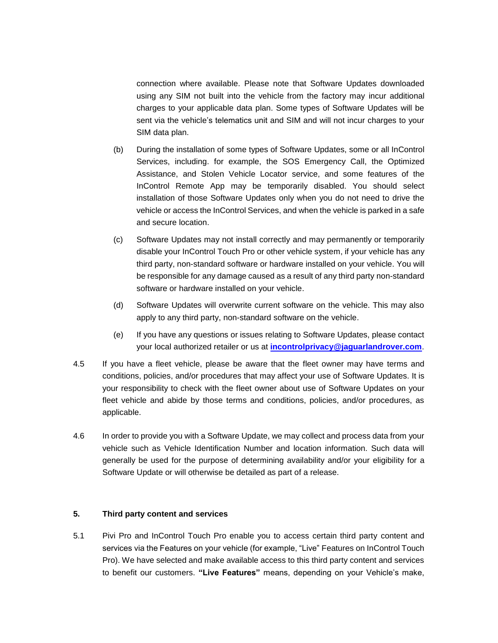connection where available. Please note that Software Updates downloaded using any SIM not built into the vehicle from the factory may incur additional charges to your applicable data plan. Some types of Software Updates will be sent via the vehicle's telematics unit and SIM and will not incur charges to your SIM data plan.

- (b) During the installation of some types of Software Updates, some or all InControl Services, including. for example, the SOS Emergency Call, the Optimized Assistance, and Stolen Vehicle Locator service, and some features of the InControl Remote App may be temporarily disabled. You should select installation of those Software Updates only when you do not need to drive the vehicle or access the InControl Services, and when the vehicle is parked in a safe and secure location.
- (c) Software Updates may not install correctly and may permanently or temporarily disable your InControl Touch Pro or other vehicle system, if your vehicle has any third party, non-standard software or hardware installed on your vehicle. You will be responsible for any damage caused as a result of any third party non-standard software or hardware installed on your vehicle.
- (d) Software Updates will overwrite current software on the vehicle. This may also apply to any third party, non-standard software on the vehicle.
- (e) If you have any questions or issues relating to Software Updates, please contact your local authorized retailer or us at **[incontrolprivacy@jaguarlandrover.com](mailto:incontrolprivacy@jaguarlandrover.com)**.
- 4.5 If you have a fleet vehicle, please be aware that the fleet owner may have terms and conditions, policies, and/or procedures that may affect your use of Software Updates. It is your responsibility to check with the fleet owner about use of Software Updates on your fleet vehicle and abide by those terms and conditions, policies, and/or procedures, as applicable.
- 4.6 In order to provide you with a Software Update, we may collect and process data from your vehicle such as Vehicle Identification Number and location information. Such data will generally be used for the purpose of determining availability and/or your eligibility for a Software Update or will otherwise be detailed as part of a release.

#### **5. Third party content and services**

5.1 Pivi Pro and InControl Touch Pro enable you to access certain third party content and services via the Features on your vehicle (for example, "Live" Features on InControl Touch Pro). We have selected and make available access to this third party content and services to benefit our customers. **"Live Features"** means, depending on your Vehicle's make,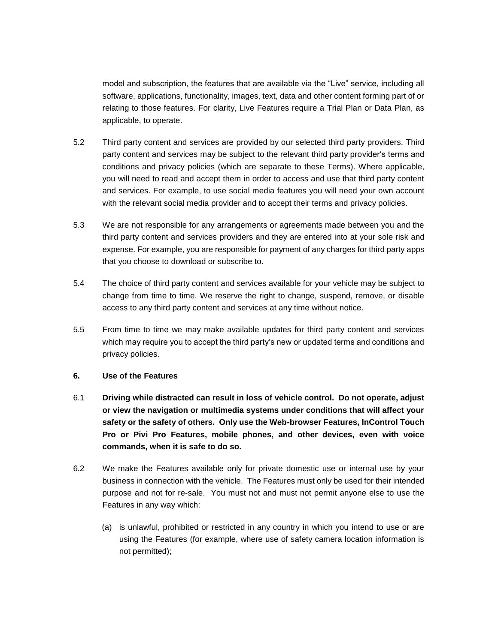model and subscription, the features that are available via the "Live" service, including all software, applications, functionality, images, text, data and other content forming part of or relating to those features. For clarity, Live Features require a Trial Plan or Data Plan, as applicable, to operate.

- 5.2 Third party content and services are provided by our selected third party providers. Third party content and services may be subject to the relevant third party provider's terms and conditions and privacy policies (which are separate to these Terms). Where applicable, you will need to read and accept them in order to access and use that third party content and services. For example, to use social media features you will need your own account with the relevant social media provider and to accept their terms and privacy policies.
- 5.3 We are not responsible for any arrangements or agreements made between you and the third party content and services providers and they are entered into at your sole risk and expense. For example, you are responsible for payment of any charges for third party apps that you choose to download or subscribe to.
- 5.4 The choice of third party content and services available for your vehicle may be subject to change from time to time. We reserve the right to change, suspend, remove, or disable access to any third party content and services at any time without notice.
- 5.5 From time to time we may make available updates for third party content and services which may require you to accept the third party's new or updated terms and conditions and privacy policies.

# **6. Use of the Features**

- 6.1 **Driving while distracted can result in loss of vehicle control. Do not operate, adjust or view the navigation or multimedia systems under conditions that will affect your safety or the safety of others. Only use the Web-browser Features, InControl Touch Pro or Pivi Pro Features, mobile phones, and other devices, even with voice commands, when it is safe to do so.**
- 6.2 We make the Features available only for private domestic use or internal use by your business in connection with the vehicle. The Features must only be used for their intended purpose and not for re-sale. You must not and must not permit anyone else to use the Features in any way which:
	- (a) is unlawful, prohibited or restricted in any country in which you intend to use or are using the Features (for example, where use of safety camera location information is not permitted);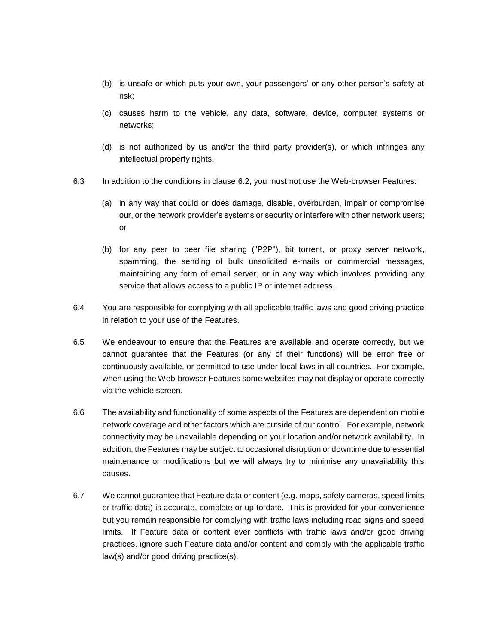- (b) is unsafe or which puts your own, your passengers' or any other person's safety at risk;
- (c) causes harm to the vehicle, any data, software, device, computer systems or networks;
- (d) is not authorized by us and/or the third party provider(s), or which infringes any intellectual property rights.
- 6.3 In addition to the conditions in clause 6.2, you must not use the Web-browser Features:
	- (a) in any way that could or does damage, disable, overburden, impair or compromise our, or the network provider's systems or security or interfere with other network users; or
	- (b) for any peer to peer file sharing ("P2P"), bit torrent, or proxy server network, spamming, the sending of bulk unsolicited e-mails or commercial messages, maintaining any form of email server, or in any way which involves providing any service that allows access to a public IP or internet address.
- 6.4 You are responsible for complying with all applicable traffic laws and good driving practice in relation to your use of the Features.
- 6.5 We endeavour to ensure that the Features are available and operate correctly, but we cannot guarantee that the Features (or any of their functions) will be error free or continuously available, or permitted to use under local laws in all countries. For example, when using the Web-browser Features some websites may not display or operate correctly via the vehicle screen.
- 6.6 The availability and functionality of some aspects of the Features are dependent on mobile network coverage and other factors which are outside of our control. For example, network connectivity may be unavailable depending on your location and/or network availability. In addition, the Features may be subject to occasional disruption or downtime due to essential maintenance or modifications but we will always try to minimise any unavailability this causes.
- 6.7 We cannot guarantee that Feature data or content (e.g. maps, safety cameras, speed limits or traffic data) is accurate, complete or up-to-date. This is provided for your convenience but you remain responsible for complying with traffic laws including road signs and speed limits. If Feature data or content ever conflicts with traffic laws and/or good driving practices, ignore such Feature data and/or content and comply with the applicable traffic law(s) and/or good driving practice(s).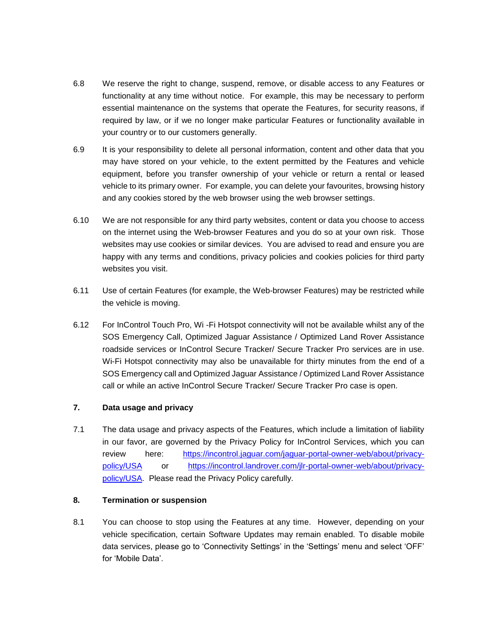- 6.8 We reserve the right to change, suspend, remove, or disable access to any Features or functionality at any time without notice. For example, this may be necessary to perform essential maintenance on the systems that operate the Features, for security reasons, if required by law, or if we no longer make particular Features or functionality available in your country or to our customers generally.
- 6.9 It is your responsibility to delete all personal information, content and other data that you may have stored on your vehicle, to the extent permitted by the Features and vehicle equipment, before you transfer ownership of your vehicle or return a rental or leased vehicle to its primary owner. For example, you can delete your favourites, browsing history and any cookies stored by the web browser using the web browser settings.
- 6.10 We are not responsible for any third party websites, content or data you choose to access on the internet using the Web-browser Features and you do so at your own risk. Those websites may use cookies or similar devices. You are advised to read and ensure you are happy with any terms and conditions, privacy policies and cookies policies for third party websites you visit.
- 6.11 Use of certain Features (for example, the Web-browser Features) may be restricted while the vehicle is moving.
- 6.12 For InControl Touch Pro, Wi -Fi Hotspot connectivity will not be available whilst any of the SOS Emergency Call, Optimized Jaguar Assistance / Optimized Land Rover Assistance roadside services or InControl Secure Tracker/ Secure Tracker Pro services are in use. Wi-Fi Hotspot connectivity may also be unavailable for thirty minutes from the end of a SOS Emergency call and Optimized Jaguar Assistance / Optimized Land Rover Assistance call or while an active InControl Secure Tracker/ Secure Tracker Pro case is open.

# **7. Data usage and privacy**

7.1 The data usage and privacy aspects of the Features, which include a limitation of liability in our favor, are governed by the Privacy Policy for InControl Services, which you can review here: [https://incontrol.jaguar.com/jaguar-portal-owner-web/about/privacy](https://incontrol.jaguar.com/jaguar-portal-owner-web/about/privacy-policy/USA)[policy/USA](https://incontrol.jaguar.com/jaguar-portal-owner-web/about/privacy-policy/USA) or [https://incontrol.landrover.com/jlr-portal-owner-web/about/privacy](https://incontrol.landrover.com/jlr-portal-owner-web/about/privacy-policy/USA)[policy/USA.](https://incontrol.landrover.com/jlr-portal-owner-web/about/privacy-policy/USA) Please read the Privacy Policy carefully.

# **8. Termination or suspension**

8.1 You can choose to stop using the Features at any time. However, depending on your vehicle specification, certain Software Updates may remain enabled. To disable mobile data services, please go to 'Connectivity Settings' in the 'Settings' menu and select 'OFF' for 'Mobile Data'.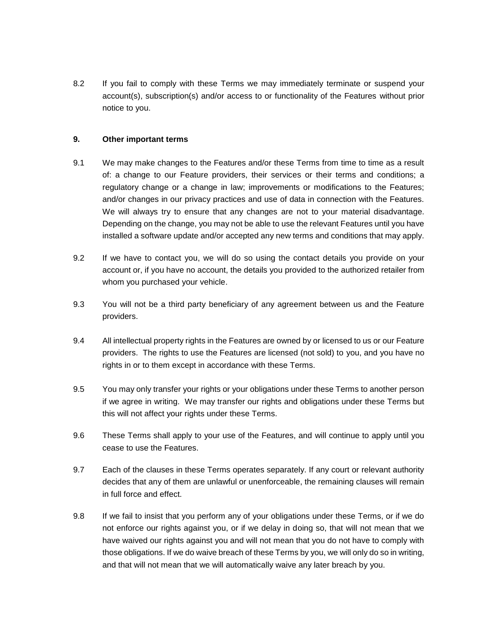8.2 If you fail to comply with these Terms we may immediately terminate or suspend your account(s), subscription(s) and/or access to or functionality of the Features without prior notice to you.

#### **9. Other important terms**

- 9.1 We may make changes to the Features and/or these Terms from time to time as a result of: a change to our Feature providers, their services or their terms and conditions; a regulatory change or a change in law; improvements or modifications to the Features; and/or changes in our privacy practices and use of data in connection with the Features. We will always try to ensure that any changes are not to your material disadvantage. Depending on the change, you may not be able to use the relevant Features until you have installed a software update and/or accepted any new terms and conditions that may apply.
- 9.2 If we have to contact you, we will do so using the contact details you provide on your account or, if you have no account, the details you provided to the authorized retailer from whom you purchased your vehicle.
- 9.3 You will not be a third party beneficiary of any agreement between us and the Feature providers.
- 9.4 All intellectual property rights in the Features are owned by or licensed to us or our Feature providers. The rights to use the Features are licensed (not sold) to you, and you have no rights in or to them except in accordance with these Terms.
- 9.5 You may only transfer your rights or your obligations under these Terms to another person if we agree in writing. We may transfer our rights and obligations under these Terms but this will not affect your rights under these Terms.
- 9.6 These Terms shall apply to your use of the Features, and will continue to apply until you cease to use the Features.
- 9.7 Each of the clauses in these Terms operates separately. If any court or relevant authority decides that any of them are unlawful or unenforceable, the remaining clauses will remain in full force and effect.
- 9.8 If we fail to insist that you perform any of your obligations under these Terms, or if we do not enforce our rights against you, or if we delay in doing so, that will not mean that we have waived our rights against you and will not mean that you do not have to comply with those obligations. If we do waive breach of these Terms by you, we will only do so in writing, and that will not mean that we will automatically waive any later breach by you.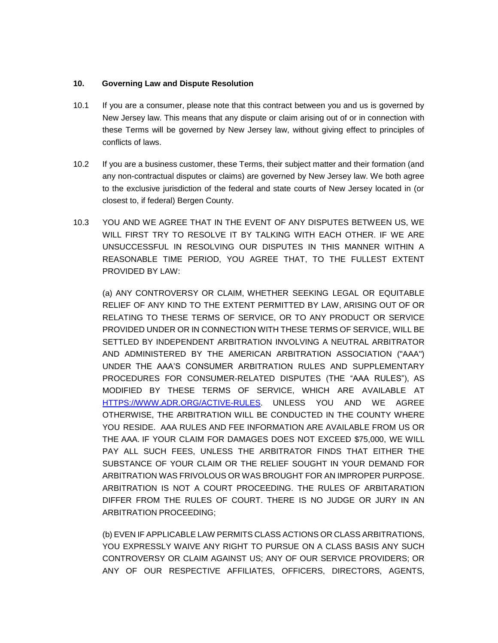#### **10. Governing Law and Dispute Resolution**

- 10.1 If you are a consumer, please note that this contract between you and us is governed by New Jersey law. This means that any dispute or claim arising out of or in connection with these Terms will be governed by New Jersey law, without giving effect to principles of conflicts of laws.
- 10.2 If you are a business customer, these Terms, their subject matter and their formation (and any non-contractual disputes or claims) are governed by New Jersey law. We both agree to the exclusive jurisdiction of the federal and state courts of New Jersey located in (or closest to, if federal) Bergen County.
- 10.3 YOU AND WE AGREE THAT IN THE EVENT OF ANY DISPUTES BETWEEN US, WE WILL FIRST TRY TO RESOLVE IT BY TALKING WITH EACH OTHER. IF WE ARE UNSUCCESSFUL IN RESOLVING OUR DISPUTES IN THIS MANNER WITHIN A REASONABLE TIME PERIOD, YOU AGREE THAT, TO THE FULLEST EXTENT PROVIDED BY LAW:

(a) ANY CONTROVERSY OR CLAIM, WHETHER SEEKING LEGAL OR EQUITABLE RELIEF OF ANY KIND TO THE EXTENT PERMITTED BY LAW, ARISING OUT OF OR RELATING TO THESE TERMS OF SERVICE, OR TO ANY PRODUCT OR SERVICE PROVIDED UNDER OR IN CONNECTION WITH THESE TERMS OF SERVICE, WILL BE SETTLED BY INDEPENDENT ARBITRATION INVOLVING A NEUTRAL ARBITRATOR AND ADMINISTERED BY THE AMERICAN ARBITRATION ASSOCIATION ("AAA") UNDER THE AAA'S CONSUMER ARBITRATION RULES AND SUPPLEMENTARY PROCEDURES FOR CONSUMER-RELATED DISPUTES (THE "AAA RULES"), AS MODIFIED BY THESE TERMS OF SERVICE, WHICH ARE AVAILABLE AT [HTTPS://WWW.ADR.ORG/ACTIVE-RULES.](https://www.adr.org/active-rules) UNLESS YOU AND WE AGREE OTHERWISE, THE ARBITRATION WILL BE CONDUCTED IN THE COUNTY WHERE YOU RESIDE. AAA RULES AND FEE INFORMATION ARE AVAILABLE FROM US OR THE AAA. IF YOUR CLAIM FOR DAMAGES DOES NOT EXCEED \$75,000, WE WILL PAY ALL SUCH FEES, UNLESS THE ARBITRATOR FINDS THAT EITHER THE SUBSTANCE OF YOUR CLAIM OR THE RELIEF SOUGHT IN YOUR DEMAND FOR ARBITRATION WAS FRIVOLOUS OR WAS BROUGHT FOR AN IMPROPER PURPOSE. ARBITRATION IS NOT A COURT PROCEEDING. THE RULES OF ARBITARATION DIFFER FROM THE RULES OF COURT. THERE IS NO JUDGE OR JURY IN AN ARBITRATION PROCEEDING;

(b) EVEN IF APPLICABLE LAW PERMITS CLASS ACTIONS OR CLASS ARBITRATIONS, YOU EXPRESSLY WAIVE ANY RIGHT TO PURSUE ON A CLASS BASIS ANY SUCH CONTROVERSY OR CLAIM AGAINST US; ANY OF OUR SERVICE PROVIDERS; OR ANY OF OUR RESPECTIVE AFFILIATES, OFFICERS, DIRECTORS, AGENTS,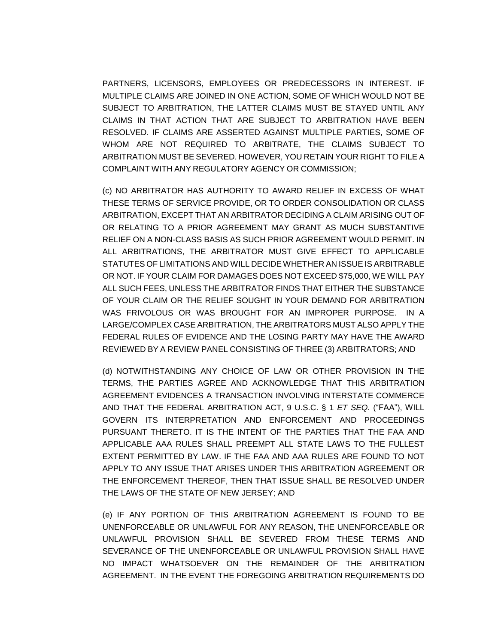PARTNERS, LICENSORS, EMPLOYEES OR PREDECESSORS IN INTEREST. IF MULTIPLE CLAIMS ARE JOINED IN ONE ACTION, SOME OF WHICH WOULD NOT BE SUBJECT TO ARBITRATION, THE LATTER CLAIMS MUST BE STAYED UNTIL ANY CLAIMS IN THAT ACTION THAT ARE SUBJECT TO ARBITRATION HAVE BEEN RESOLVED. IF CLAIMS ARE ASSERTED AGAINST MULTIPLE PARTIES, SOME OF WHOM ARE NOT REQUIRED TO ARBITRATE, THE CLAIMS SUBJECT TO ARBITRATION MUST BE SEVERED. HOWEVER, YOU RETAIN YOUR RIGHT TO FILE A COMPLAINT WITH ANY REGULATORY AGENCY OR COMMISSION;

(c) NO ARBITRATOR HAS AUTHORITY TO AWARD RELIEF IN EXCESS OF WHAT THESE TERMS OF SERVICE PROVIDE, OR TO ORDER CONSOLIDATION OR CLASS ARBITRATION, EXCEPT THAT AN ARBITRATOR DECIDING A CLAIM ARISING OUT OF OR RELATING TO A PRIOR AGREEMENT MAY GRANT AS MUCH SUBSTANTIVE RELIEF ON A NON-CLASS BASIS AS SUCH PRIOR AGREEMENT WOULD PERMIT. IN ALL ARBITRATIONS, THE ARBITRATOR MUST GIVE EFFECT TO APPLICABLE STATUTES OF LIMITATIONS AND WILL DECIDE WHETHER AN ISSUE IS ARBITRABLE OR NOT. IF YOUR CLAIM FOR DAMAGES DOES NOT EXCEED \$75,000, WE WILL PAY ALL SUCH FEES, UNLESS THE ARBITRATOR FINDS THAT EITHER THE SUBSTANCE OF YOUR CLAIM OR THE RELIEF SOUGHT IN YOUR DEMAND FOR ARBITRATION WAS FRIVOLOUS OR WAS BROUGHT FOR AN IMPROPER PURPOSE. IN A LARGE/COMPLEX CASE ARBITRATION, THE ARBITRATORS MUST ALSO APPLY THE FEDERAL RULES OF EVIDENCE AND THE LOSING PARTY MAY HAVE THE AWARD REVIEWED BY A REVIEW PANEL CONSISTING OF THREE (3) ARBITRATORS; AND

(d) NOTWITHSTANDING ANY CHOICE OF LAW OR OTHER PROVISION IN THE TERMS, THE PARTIES AGREE AND ACKNOWLEDGE THAT THIS ARBITRATION AGREEMENT EVIDENCES A TRANSACTION INVOLVING INTERSTATE COMMERCE AND THAT THE FEDERAL ARBITRATION ACT, 9 U.S.C. § 1 *ET SEQ.* ("FAA"), WILL GOVERN ITS INTERPRETATION AND ENFORCEMENT AND PROCEEDINGS PURSUANT THERETO. IT IS THE INTENT OF THE PARTIES THAT THE FAA AND APPLICABLE AAA RULES SHALL PREEMPT ALL STATE LAWS TO THE FULLEST EXTENT PERMITTED BY LAW. IF THE FAA AND AAA RULES ARE FOUND TO NOT APPLY TO ANY ISSUE THAT ARISES UNDER THIS ARBITRATION AGREEMENT OR THE ENFORCEMENT THEREOF, THEN THAT ISSUE SHALL BE RESOLVED UNDER THE LAWS OF THE STATE OF NEW JERSEY; AND

(e) IF ANY PORTION OF THIS ARBITRATION AGREEMENT IS FOUND TO BE UNENFORCEABLE OR UNLAWFUL FOR ANY REASON, THE UNENFORCEABLE OR UNLAWFUL PROVISION SHALL BE SEVERED FROM THESE TERMS AND SEVERANCE OF THE UNENFORCEABLE OR UNLAWFUL PROVISION SHALL HAVE NO IMPACT WHATSOEVER ON THE REMAINDER OF THE ARBITRATION AGREEMENT. IN THE EVENT THE FOREGOING ARBITRATION REQUIREMENTS DO